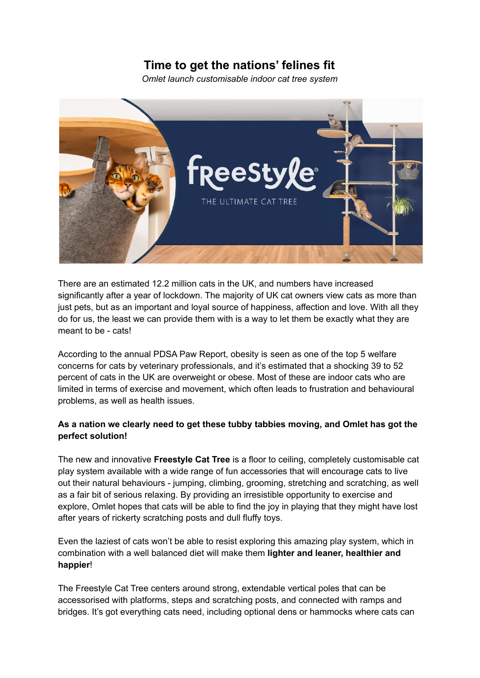## **Time to get the nations' felines fit**

*Omlet launch customisable indoor cat tree system*



There are an estimated 12.2 million cats in the UK, and numbers have increased significantly after a year of lockdown. The majority of UK cat owners view cats as more than just pets, but as an important and loyal source of happiness, affection and love. With all they do for us, the least we can provide them with is a way to let them be exactly what they are meant to be - cats!

According to the annual PDSA Paw Report, obesity is seen as one of the top 5 welfare concerns for cats by veterinary professionals, and it's estimated that a shocking 39 to 52 percent of cats in the UK are overweight or obese. Most of these are indoor cats who are limited in terms of exercise and movement, which often leads to frustration and behavioural problems, as well as health issues.

## **As a nation we clearly need to get these tubby tabbies moving, and Omlet has got the perfect solution!**

The new and innovative **Freestyle Cat Tree** is a floor to ceiling, completely customisable cat play system available with a wide range of fun accessories that will encourage cats to live out their natural behaviours - jumping, climbing, grooming, stretching and scratching, as well as a fair bit of serious relaxing. By providing an irresistible opportunity to exercise and explore, Omlet hopes that cats will be able to find the joy in playing that they might have lost after years of rickerty scratching posts and dull fluffy toys.

Even the laziest of cats won't be able to resist exploring this amazing play system, which in combination with a well balanced diet will make them **lighter and leaner, healthier and happier**!

The Freestyle Cat Tree centers around strong, extendable vertical poles that can be accessorised with platforms, steps and scratching posts, and connected with ramps and bridges. It's got everything cats need, including optional dens or hammocks where cats can